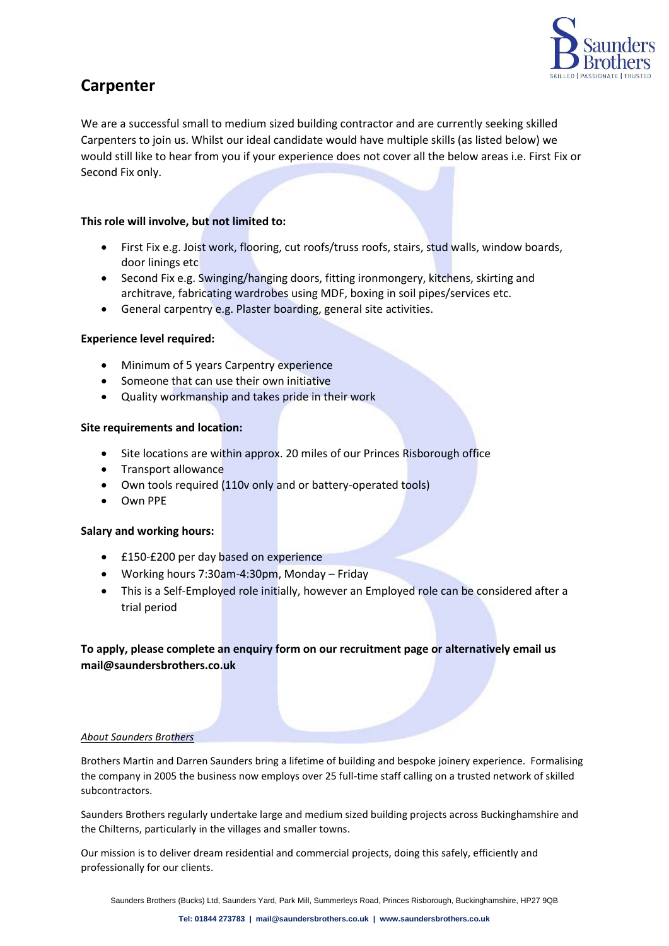

# **Carpenter**

We are a successful small to medium sized building contractor and are currently seeking skilled Carpenters to join us. Whilst our ideal candidate would have multiple skills (as listed below) we would still like to hear from you if your experience does not cover all the below areas i.e. First Fix or Second Fix only.

## **This role will involve, but not limited to:**

- First Fix e.g. Joist work, flooring, cut roofs/truss roofs, stairs, stud walls, window boards, door linings etc
- Second Fix e.g. Swinging/hanging doors, fitting ironmongery, kitchens, skirting and architrave, fabricating wardrobes using MDF, boxing in soil pipes/services etc.
- General carpentry e.g. Plaster boarding, general site activities.

### **Experience level required:**

- Minimum of 5 years Carpentry experience
- Someone that can use their own initiative
- Quality workmanship and takes pride in their work

#### **Site requirements and location:**

- Site locations are within approx. 20 miles of our Princes Risborough office
- Transport allowance
- Own tools required (110v only and or battery-operated tools)
- Own PPE

#### **Salary and working hours:**

- £150-£200 per day based on experience
- Working hours 7:30am-4:30pm, Monday Friday
- This is a Self-Employed role initially, however an Employed role can be considered after a trial period

## **To apply, please complete an enquiry form on our recruitment page or alternatively email us mail@saundersbrothers.co.uk**

#### *About Saunders Brothers*

Brothers Martin and Darren Saunders bring a lifetime of building and bespoke joinery experience. Formalising the company in 2005 the business now employs over 25 full-time staff calling on a trusted network of skilled subcontractors.

Saunders Brothers regularly undertake large and medium sized building projects across Buckinghamshire and the Chilterns, particularly in the villages and smaller towns.

Our mission is to deliver dream residential and commercial projects, doing this safely, efficiently and professionally for our clients.